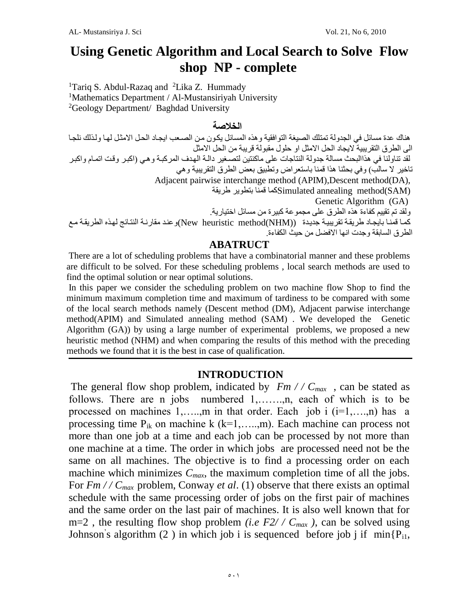# **Using Genetic Algorithm and Local Search to Solve Flow shop NP - complete**

<sup>1</sup>Tariq S. Abdul-Razaq and <sup>2</sup>Lika Z. Hummady <sup>1</sup>Mathematics Department / Al-Mustansiriyah University <sup>2</sup>Geology Department/ Baghdad University

#### **الخالصة**

هناك عدة مسائل في الجدولة تمتلك الصيغة التوافقية وهذه المسائل يكون من الصبعب ايجاد الحل الامثل لها ولذلك نلجا الى الطر ق التقر بيبة لايجاد الحل الامثل او حلول مقبولة قر ببة من الحل الامثل لقد تناولنا في هذاالبحث مسالة جدولة النتاجات على ماكنتين لتصـغير دالـة الـهدف المركبـة و هـي (اكبـر وقت اتمـام واكبـر تاخير لا سالب) وفي بحثنا هذا قمنا باستعراض وتطبيق بعض الطرق التقريبية وهي Adjacent pairwise interchange method (APIM),Descent method(DA), (SAM(method annealing Simulatedكما قمنا بتطوير طريقة Genetic Algorithm (GA) ولقد تم تقييم كفاءة هذه الطرق على مجموعة كبير ة من مسائل اختيار ية. كما قمنا بايجاد طريقة تقريبية جديدة ((New heuristic method(NHM))و عند مقارنة النتائج لهذه الطريقة مع الطر ق السابقة و جدت انها الافضل من حيث الكفاءة.

#### **ABATRUCT**

There are a lot of scheduling problems that have a combinatorial manner and these problems are difficult to be solved. For these scheduling problems , local search methods are used to find the optimal solution or near optimal solutions.

In this paper we consider the scheduling problem on two machine flow Shop to find the minimum maximum completion time and maximum of tardiness to be compared with some of the local search methods namely (Descent method (DM), Adjacent parwise interchange method(APIM) and Simulated annealing method (SAM) . We developed the Genetic Algorithm (GA)) by using a large number of experimental problems, we proposed a new heuristic method (NHM) and when comparing the results of this method with the preceding methods we found that it is the best in case of qualification.

#### **INTRODUCTION**

The general flow shop problem, indicated by  $Fm$  //  $C_{max}$ , can be stated as follows. There are n jobs numbered 1,.......,n, each of which is to be processed on machines  $1, \ldots, m$  in that order. Each job i  $(i=1, \ldots, n)$  has a processing time  $P_{ik}$  on machine k (k=1,....,m). Each machine can process not more than one job at a time and each job can be processed by not more than one machine at a time. The order in which jobs are processed need not be the same on all machines. The objective is to find a processing order on each machine which minimizes  $C_{max}$ , the maximum completion time of all the jobs. For *Fm // C<sub>max</sub>* problem, Conway *et al.* (1) observe that there exists an optimal schedule with the same processing order of jobs on the first pair of machines and the same order on the last pair of machines. It is also well known that for  $m=2$ , the resulting flow shop problem *(i.e F2// C<sub>max</sub>)*, can be solved using Johnson's algorithm (2) in which job i is sequenced before job j if  $min\{P_{i1},\}$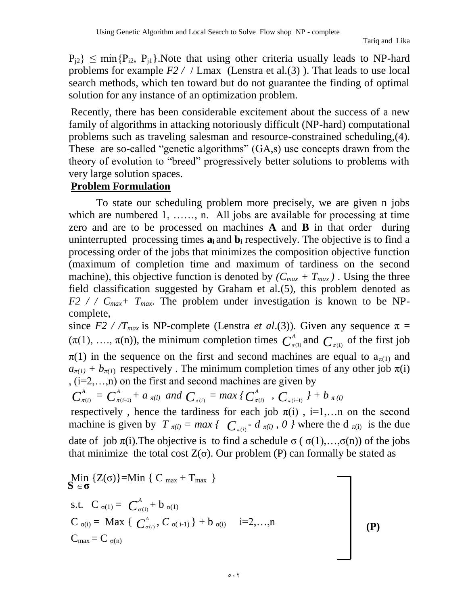$P_{i2}$   $\leq$  min $\{P_{i2}, P_{i1}\}\$ . Note that using other criteria usually leads to NP-hard problems for example *F2 /* / Lmax (Lenstra et al.(3) ). That leads to use local search methods, which ten toward but do not guarantee the finding of optimal solution for any instance of an optimization problem.

Recently, there has been considerable excitement about the success of a new family of algorithms in attacking notoriously difficult (NP-hard) computational problems such as traveling salesman and resource-constrained scheduling,(4). These are so-called "genetic algorithms" (GA,s) use concepts drawn from the theory of evolution to "breed" progressively better solutions to problems with very large solution spaces.

#### **Problem Formulation**

To state our scheduling problem more precisely, we are given n jobs which are numbered 1, …, n. All jobs are available for processing at time zero and are to be processed on machines **A** and **B** in that order during uninterrupted processing times  $a_i$  and  $b_i$  respectively. The objective is to find a processing order of the jobs that minimizes the composition objective function (maximum of completion time and maximum of tardiness on the second machine), this objective function is denoted by  $(C_{max} + T_{max})$ . Using the three field classification suggested by Graham et al.(5), this problem denoted as  $F2$  / /  $C_{max}$ +  $T_{max}$ . The problem under investigation is known to be NPcomplete,

since *F2 / /T<sub>max</sub>* is NP-complete (Lenstra *et al.*(3)). Given any sequence  $\pi$  =  $(\pi(1), \ldots, \pi(n))$ , the minimum completion times  $C^A$  $_{\pi(1)}^A$  and  $C_{\pi(1)}$  of the first job  $\pi(1)$  in the sequence on the first and second machines are equal to  $a_{\pi(1)}$  and  $a_{\pi(1)} + b_{\pi(1)}$  respectively. The minimum completion times of any other job  $\pi(i)$ , (i=2,…,n) on the first and second machines are given by

$$
C_{\pi(i)}^A = C_{\pi(i-1)}^A + a_{\pi(i)}
$$
 and  $C_{\pi(i)} = \max \{ C_{\pi(i)}^A, C_{\pi(i-1)} \} + b_{\pi(i)}$ 

respectively, hence the tardiness for each job  $\pi(i)$ , i=1,...n on the second machine is given by  $T_{\pi(i)} = max \{ C_{\pi(i)} - d_{\pi(i)}$ , 0 *}* where the d  $_{\pi(i)}$  is the due date of job  $\pi(i)$ . The objective is to find a schedule  $\sigma(\sigma(1),...,\sigma(n))$  of the jobs that minimize the total cost  $Z(\sigma)$ . Our problem (P) can formally be stated as

$$
\begin{aligned}\n\mathbf{A} & \lim_{\delta \to \mathbf{\sigma}} \{ Z(\sigma) \} = \text{Min} \{ C_{\text{max}} + T_{\text{max}} \} \\
\text{s.t.} \quad C_{\sigma(1)} &= C_{\sigma(1)}^A + b_{\sigma(1)} \\
C_{\sigma(i)} &= \text{Max} \{ C_{\sigma(i)}^A, C_{\sigma(i-1)} \} + b_{\sigma(i)} \quad i = 2, \dots, n \\
C_{\text{max}} &= C_{\sigma(n)}\n\end{aligned}\n\tag{P}
$$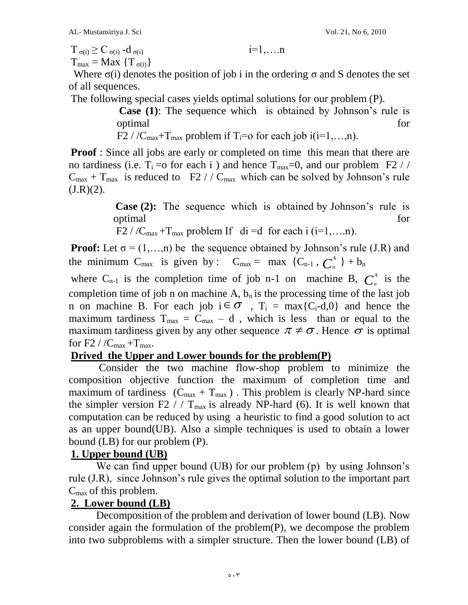$T_{\sigma(i)} \geq C_{\sigma(i)} - d_{\sigma(i)}$  i=1,....n

 $T_{\text{max}} = \text{Max} \{T_{\sigma(i)}\}$ 

Where  $\sigma(i)$  denotes the position of job i in the ordering  $\sigma$  and S denotes the set of all sequences.

The following special cases yields optimal solutions for our problem (P).

**Case (1)**: The sequence which is obtained by Johnson's rule is optimal for the contract of the contract of the contract of the contract of the contract of the contract of the contract of the contract of the contract of the contract of the contract of the contract of the contract of th

F2 / / $C_{\text{max}}+T_{\text{max}}$  problem if T<sub>i</sub>=o for each job i(i=1,...,n).

**Proof** : Since all jobs are early or completed on time this mean that there are no tardiness (i.e.  $T_i = o$  for each i ) and hence  $T_{max} = 0$ , and our problem F2 //  $C_{\text{max}} + T_{\text{max}}$  is reduced to F2 //  $C_{\text{max}}$  which can be solved by Johnson's rule  $(J.R)(2)$ .

> **Case (2):** The sequence which is obtained by Johnson's rule is optimal for the state of  $\sim$  for  $\sim$

F2 / / $C_{\text{max}}$  +T<sub>max</sub> problem If di =d for each i (i=1,...n).

**Proof:** Let  $\sigma = (1,...,n)$  be the sequence obtained by Johnson's rule (J.R) and the minimum C<sub>max</sub> is given by : C<sub>max</sub> = max {C<sub>n-1</sub>,  $C_n^A$  $\begin{bmatrix} A \\ n \end{bmatrix} + b_n$ 

where  $C_{n-1}$  is the completion time of job n-1 on machine B,  $C_n^A$  $\int_{n}^{A}$  is the completion time of job n on machine A,  $b_n$  is the processing time of the last job n on machine B. For each job  $i \in \sigma$ ,  $T_i = max{C_i-d,0}$  and hence the maximum tardiness  $T_{max} = C_{max} - d$ , which is less than or equal to the maximum tardiness given by any other sequence  $\pi \neq \sigma$ . Hence  $\sigma$  is optimal for F2 /  $/C_{\text{max}} + T_{\text{max}}$ .

## **Drived the Upper and Lower bounds for the problem(P)**

Consider the two machine flow-shop problem to minimize the composition objective function the maximum of completion time and maximum of tardiness  $(C_{\text{max}} + T_{\text{max}})$ . This problem is clearly NP-hard since the simpler version F2 / /  $T_{max}$  is already NP-hard (6). It is well known that computation can be reduced by using a heuristic to find a good solution to act as an upper bound(UB). Also a simple techniques is used to obtain a lower bound (LB) for our problem (P).

## **1. Upper bound (UB)**

We can find upper bound (UB) for our problem (p) by using Johnson's rule (J.R), since Johnson's rule gives the optimal solution to the important part  $C_{\text{max}}$  of this problem.

### **2. Lower bound (LB)**

Decomposition of the problem and derivation of lower bound (LB). Now consider again the formulation of the problem(P), we decompose the problem into two subproblems with a simpler structure. Then the lower bound (LB) of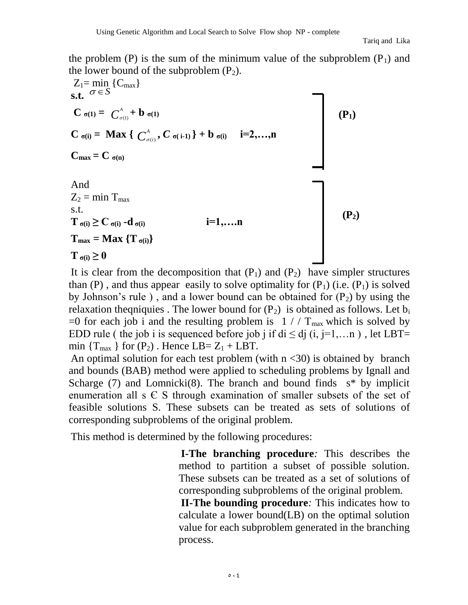the problem (P) is the sum of the minimum value of the subproblem  $(P_1)$  and the lower bound of the subproblem  $(P_2)$ .

$$
Z_{1} = \min_{\sigma \in S} \{C_{\max}\}
$$
\n
$$
C_{\sigma(1)} = C_{\sigma(1)}^{\Delta} + b_{\sigma(1)}
$$
\n
$$
C_{\sigma(i)} = \text{Max} \{ C_{\sigma(i)}^{\Delta}, C_{\sigma(i-1)} \} + b_{\sigma(i)} \quad i=2,...,n
$$
\n
$$
C_{\max} = C_{\sigma(n)}
$$
\nAnd\n
$$
Z_{2} = \min_{\sigma(i)} T_{\max}
$$
\n
$$
S.t.
$$
\n
$$
T_{\sigma(i)} \ge C_{\sigma(i)} - d_{\sigma(i)}
$$
\n
$$
i=1,...,n
$$
\n
$$
T_{\max} = \text{Max} \{T_{\sigma(i)}\}
$$
\n
$$
T_{\sigma(i)} \ge 0
$$
\n
$$
(P_{2})
$$

It is clear from the decomposition that  $(P_1)$  and  $(P_2)$  have simpler structures than  $(P)$ , and thus appear easily to solve optimality for  $(P_1)$  (i.e.  $(P_1)$ ) is solved by Johnson's rule), and a lower bound can be obtained for  $(P_2)$  by using the relaxation theqniquies . The lower bound for  $(P_2)$  is obtained as follows. Let  $b_i$ =0 for each job i and the resulting problem is  $1 // T<sub>max</sub>$  which is solved by EDD rule ( the job i is sequenced before job j if di  $\leq$  dj (i, j=1,...n), let LBT= min  $\{T_{max}\}\$ for  $(P_2)$ . Hence LB=  $Z_1$  + LBT.

An optimal solution for each test problem (with  $n < 30$ ) is obtained by branch and bounds (BAB) method were applied to scheduling problems by Ignall and Scharge (7) and Lomnicki(8). The branch and bound finds  $s^*$  by implicit enumeration all  $s \in S$  through examination of smaller subsets of the set of feasible solutions S. These subsets can be treated as sets of solutions of corresponding subproblems of the original problem.

This method is determined by the following procedures:

**I-The branching procedure***:* This describes the method to partition a subset of possible solution. These subsets can be treated as a set of solutions of corresponding subproblems of the original problem.

**II-The bounding procedure***:* This indicates how to calculate a lower bound(LB) on the optimal solution value for each subproblem generated in the branching process.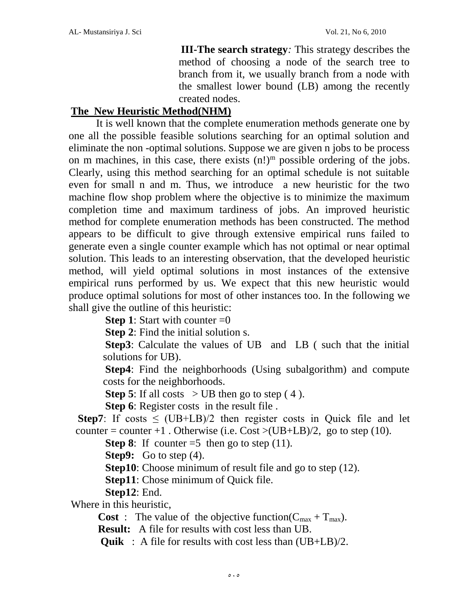**III-The search strategy***:* This strategy describes the method of choosing a node of the search tree to branch from it, we usually branch from a node with the smallest lower bound (LB) among the recently created nodes.

### **The New Heuristic Method(NHM)**

It is well known that the complete enumeration methods generate one by one all the possible feasible solutions searching for an optimal solution and eliminate the non -optimal solutions. Suppose we are given n jobs to be process on m machines, in this case, there exists  $(n!)^m$  possible ordering of the jobs. Clearly, using this method searching for an optimal schedule is not suitable even for small n and m. Thus, we introduce a new heuristic for the two machine flow shop problem where the objective is to minimize the maximum completion time and maximum tardiness of jobs. An improved heuristic method for complete enumeration methods has been constructed. The method appears to be difficult to give through extensive empirical runs failed to generate even a single counter example which has not optimal or near optimal solution. This leads to an interesting observation, that the developed heuristic method, will yield optimal solutions in most instances of the extensive empirical runs performed by us. We expect that this new heuristic would produce optimal solutions for most of other instances too. In the following we shall give the outline of this heuristic:

**Step 1**: Start with counter  $=0$ 

**Step 2**: Find the initial solution s.

**Step3**: Calculate the values of UB and LB ( such that the initial solutions for UB).

**Step4**: Find the neighborhoods (Using subalgorithm) and compute costs for the neighborhoods.

**Step 5**: If all costs  $>$  UB then go to step (4).

**Step 6**: Register costs in the result file .

**Step7**: If costs  $\leq$  (UB+LB)/2 then register costs in Quick file and let counter = counter +1. Otherwise (i.e.  $Cost > (UB+LB)/2$ , go to step (10).

**Step 8**: If counter  $=5$  then go to step (11).

**Step9:** Go to step (4).

**Step10**: Choose minimum of result file and go to step (12).

**Step11**: Chose minimum of Quick file.

**Step12**: End.

Where in this heuristic,

**Cost** : The value of the objective function( $C_{\text{max}} + T_{\text{max}}$ ).

**Result:** A file for results with cost less than UB.

**Quik** : A file for results with cost less than (UB+LB)/2.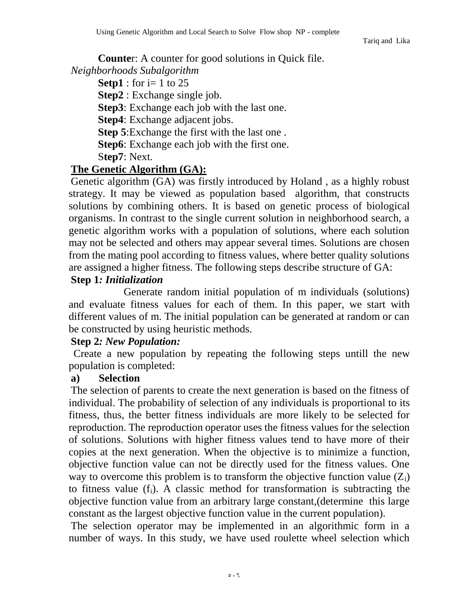Tariq and Lika

**Counte**r: A counter for good solutions in Quick file. *Neighborhoods Subalgorithm* 

**Setp1** : for i= 1 to 25

**Step2** : Exchange single job.

**Step3**: Exchange each job with the last one.

**Step4**: Exchange adjacent jobs.

**Step 5**:Exchange the first with the last one .

**Step6**: Exchange each job with the first one.

S**tep7**: Next.

## **The Genetic Algorithm (GA):**

Genetic algorithm (GA) was firstly introduced by Holand , as a highly robust strategy. It may be viewed as population based algorithm, that constructs solutions by combining others. It is based on genetic process of biological organisms. In contrast to the single current solution in neighborhood search, a genetic algorithm works with a population of solutions, where each solution may not be selected and others may appear several times. Solutions are chosen from the mating pool according to fitness values, where better quality solutions are assigned a higher fitness. The following steps describe structure of GA:

### **Step 1***: Initialization*

Generate random initial population of m individuals (solutions) and evaluate fitness values for each of them. In this paper, we start with different values of m. The initial population can be generated at random or can be constructed by using heuristic methods.

### **Step 2***: New Population:*

Create a new population by repeating the following steps untill the new population is completed:

### **a) Selection**

The selection of parents to create the next generation is based on the fitness of individual. The probability of selection of any individuals is proportional to its fitness, thus, the better fitness individuals are more likely to be selected for reproduction. The reproduction operator uses the fitness values for the selection of solutions. Solutions with higher fitness values tend to have more of their copies at the next generation. When the objective is to minimize a function, objective function value can not be directly used for the fitness values. One way to overcome this problem is to transform the objective function value  $(Z_i)$ to fitness value  $(f_i)$ . A classic method for transformation is subtracting the objective function value from an arbitrary large constant,(determine this large constant as the largest objective function value in the current population).

The selection operator may be implemented in an algorithmic form in a number of ways. In this study, we have used roulette wheel selection which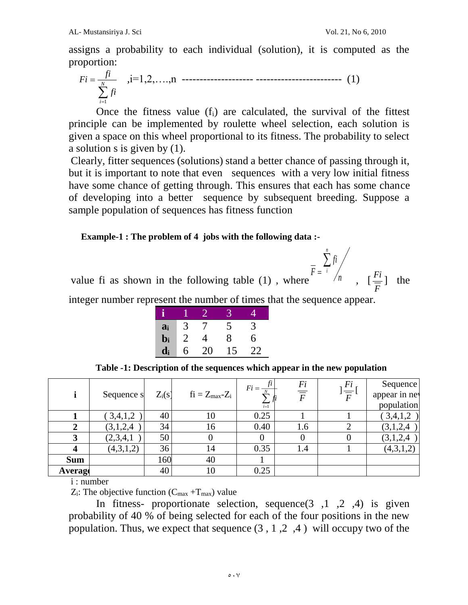assigns a probability to each individual (solution), it is computed as the proportion:

$$
Fi = \frac{fi}{\sum_{i=1}^{N} fi}
$$
, i=1,2,...,n \n
$$
1) \tag{1}
$$

Once the fitness value  $(f_i)$  are calculated, the survival of the fittest principle can be implemented by roulette wheel selection, each solution is given a space on this wheel proportional to its fitness. The probability to select a solution s is given by (1).

Clearly, fitter sequences (solutions) stand a better chance of passing through it, but it is important to note that even sequences with a very low initial fitness have some chance of getting through. This ensures that each has some chance of developing into a better sequence by subsequent breeding. Suppose a sample population of sequences has fitness function

#### **Example-1 : The problem of 4 jobs with the following data :-**

value fi as shown in the following table  $(1)$ , where

*n fi F n i* ).  $=$ <sup>1</sup> /n,  $\left[\frac{F_i}{F}\right]$  $\frac{Fi}{}$ ] the

integer number represent the number of times that the sequence appear.

| ĥ                         |   |    |    |    |
|---------------------------|---|----|----|----|
| $a_i$                     | 3 | 7  | 5  | 3  |
| $\mathbf{b_i}$            | 2 | 4  | 8  | 6  |
| $\mathbf{d}_{\mathbf{i}}$ | 6 | 20 | 15 | 22 |

 **Table -1: Description of the sequences which appear in the new population**

|            | Sequence s | $Z_i(s)$ | $fi = Z_{max}Z_i$ | $Fi = \frac{ft}{t}$<br>$\sum_{i=1}^{n}$ $\int$ | $\frac{Fi}{\overline{F}}$ | Fi<br>$\overline{\overline{F}}$ | Sequence<br>appear in nev<br>population |
|------------|------------|----------|-------------------|------------------------------------------------|---------------------------|---------------------------------|-----------------------------------------|
|            | 3,4,1,2    | 40       | 10                | 0.25                                           |                           |                                 | (3,4,1,2)                               |
|            | (3,1,2,4)  | 34       | 16                | 0.40                                           | 1.6                       |                                 | (3,1,2,4)                               |
| 3          | (2,3,4,1)  | 50       |                   | $\theta$                                       |                           |                                 | (3,1,2,4)                               |
|            | (4,3,1,2)  | 36       | 14                | 0.35                                           | 1.4                       |                                 | (4,3,1,2)                               |
| <b>Sum</b> |            | 160      | 40                |                                                |                           |                                 |                                         |
| Average    |            | 40       | 10                | 0.25                                           |                           |                                 |                                         |

i : number

 $Z_i$ : The objective function  $(C_{\text{max}} + T_{\text{max}})$  value

In fitness- proportionate selection, sequence  $(3, 1, 2, 4)$  is given probability of 40 % of being selected for each of the four positions in the new population. Thus, we expect that sequence  $(3, 1, 2, 4)$  will occupy two of the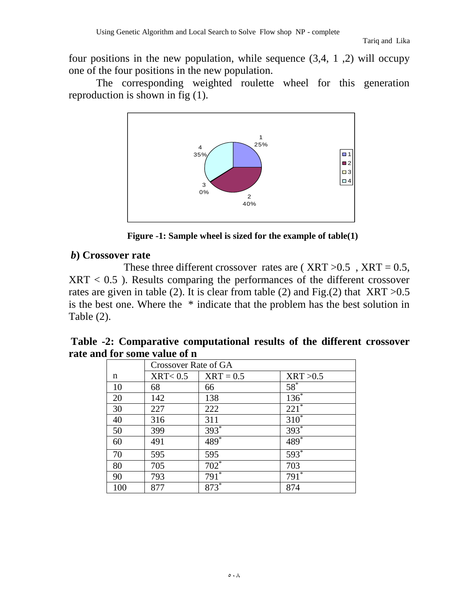four positions in the new population, while sequence  $(3,4, 1, 2)$  will occupy one of the four positions in the new population.

The corresponding weighted roulette wheel for this generation reproduction is shown in fig (1).



**Figure -1: Sample wheel is sized for the example of table(1)**

### *b***) Crossover rate**

These three different crossover rates are ( $XRT > 0.5$ ,  $XRT = 0.5$ ,  $XRT < 0.5$ ). Results comparing the performances of the different crossover rates are given in table (2). It is clear from table (2) and Fig.(2) that  $XRT > 0.5$ is the best one. Where the \* indicate that the problem has the best solution in Table (2).

|                              | Table -2: Comparative computational results of the different crossover |
|------------------------------|------------------------------------------------------------------------|
| rate and for some value of n |                                                                        |

|     | <b>Crossover Rate of GA</b> |             |                    |  |  |  |
|-----|-----------------------------|-------------|--------------------|--|--|--|
| n   | $\text{XRT} < 0.5$          | $XRT = 0.5$ | XRT > 0.5          |  |  |  |
| 10  | 68                          | 66          | $58^*$             |  |  |  |
| 20  | 142                         | 138         | $136*$             |  |  |  |
| 30  | 227                         | 222         | $221^{*}$          |  |  |  |
| 40  | 316                         | 311         | $310^*$            |  |  |  |
| 50  | 399                         | $393*$      | $393*$             |  |  |  |
| 60  | 491                         | $489*$      | 489*               |  |  |  |
| 70  | 595                         | 595         | 593*               |  |  |  |
| 80  | 705                         | $702*$      | 703                |  |  |  |
| 90  | 793                         | $791^*$     | $791$ <sup>*</sup> |  |  |  |
| 100 | 877                         | 873*        | 874                |  |  |  |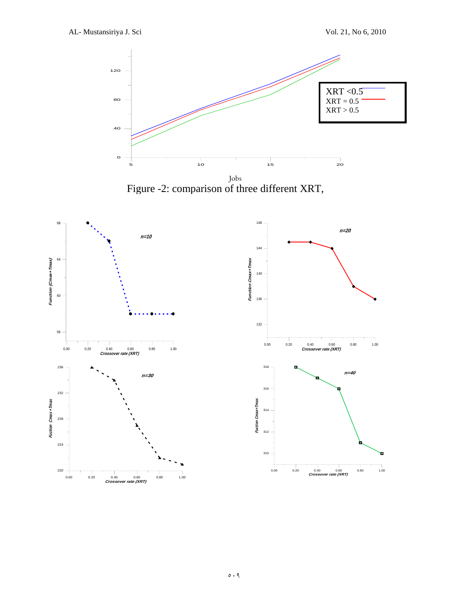

Figure -2: comparison of three different XRT,

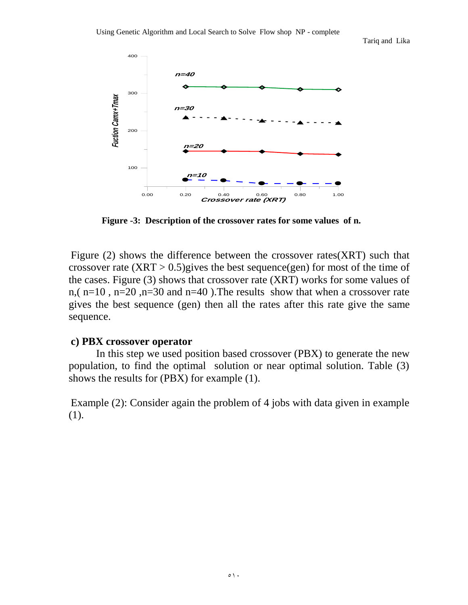Tariq and Lika



**Figure -3: Description of the crossover rates for some values of n.** 

Figure (2) shows the difference between the crossover rates(XRT) such that crossover rate  $(XRT > 0.5)$ gives the best sequence(gen) for most of the time of the cases. Figure (3) shows that crossover rate (XRT) works for some values of n,( n=10 , n=20 ,n=30 and n=40 ).The results show that when a crossover rate gives the best sequence (gen) then all the rates after this rate give the same sequence.

#### **c) PBX crossover operator**

In this step we used position based crossover (PBX) to generate the new population, to find the optimal solution or near optimal solution. Table (3) shows the results for (PBX) for example (1).

Example (2): Consider again the problem of 4 jobs with data given in example (1).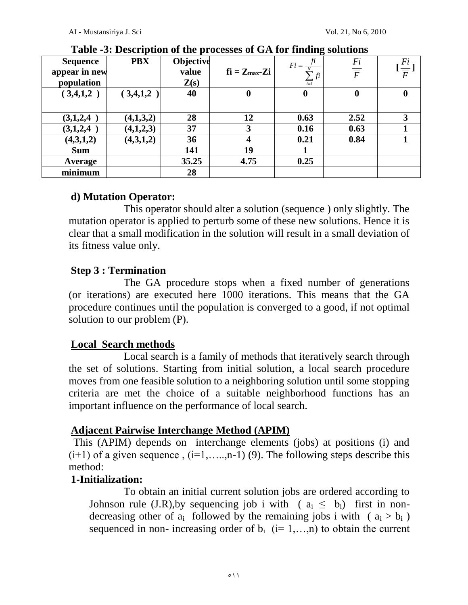| <b>Sequence</b><br>appear in new<br>population | <b>PBX</b> | Objective<br>value<br>Z(s) | $fi = Z_{max}Zi$ | fi<br>$Fi =$<br>$\angle f^{i+}$<br>$i=1$ | $\frac{Fi}{\overline{F}}$ | $\frac{Fi}{\overline{F}}$ |
|------------------------------------------------|------------|----------------------------|------------------|------------------------------------------|---------------------------|---------------------------|
| (3,4,1,2)                                      | (3,4,1,2)  | 40                         | O                | $\bf{0}$                                 | $\bf{0}$                  | $\bf{0}$                  |
|                                                |            |                            |                  |                                          |                           |                           |
| (3,1,2,4)                                      | (4,1,3,2)  | 28                         | 12               | 0.63                                     | 2.52                      | 3                         |
| (3,1,2,4)                                      | (4,1,2,3)  | 37                         |                  | 0.16                                     | 0.63                      |                           |
| (4,3,1,2)                                      | (4,3,1,2)  | 36                         | $\boldsymbol{4}$ | 0.21                                     | 0.84                      |                           |
| <b>Sum</b>                                     |            | 141                        | 19               |                                          |                           |                           |
| Average                                        |            | 35.25                      | 4.75             | 0.25                                     |                           |                           |
| minimum                                        |            | 28                         |                  |                                          |                           |                           |

**Table -3: Description of the processes of GA for finding solutions**

## **d) Mutation Operator:**

This operator should alter a solution (sequence ) only slightly. The mutation operator is applied to perturb some of these new solutions. Hence it is clear that a small modification in the solution will result in a small deviation of its fitness value only.

### **Step 3 : Termination**

The GA procedure stops when a fixed number of generations (or iterations) are executed here 1000 iterations. This means that the GA procedure continues until the population is converged to a good, if not optimal solution to our problem (P).

### **Local Search methods**

Local search is a family of methods that iteratively search through the set of solutions. Starting from initial solution, a local search procedure moves from one feasible solution to a neighboring solution until some stopping criteria are met the choice of a suitable neighborhood functions has an important influence on the performance of local search.

## **Adjacent Pairwise Interchange Method (APIM)**

This (APIM) depends on interchange elements (jobs) at positions (i) and  $(i+1)$  of a given sequence ,  $(i=1, \ldots, n-1)$  (9). The following steps describe this method:

### **1-Initialization:**

To obtain an initial current solution jobs are ordered according to Johnson rule (J.R), by sequencing job i with ( $a_i \leq b_i$ ) first in nondecreasing other of  $a_i$  followed by the remaining jobs i with ( $a_i > b_i$ ) sequenced in non- increasing order of  $b_i$  (i= 1,…,n) to obtain the current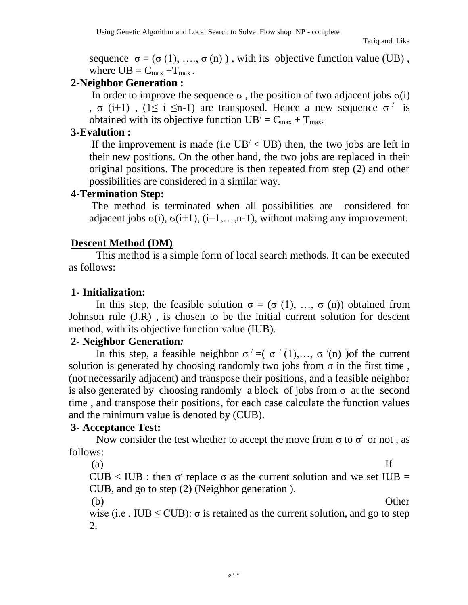sequence  $\sigma = (\sigma(1), \ldots, \sigma(n))$ , with its objective function value (UB), where  $UB = C_{max} + T_{max}$ .

### **2-Neighbor Generation :**

In order to improve the sequence  $\sigma$ , the position of two adjacent jobs  $\sigma(i)$ , σ (i+1), (1≤ i ≤n-1) are transposed. Hence a new sequence σ<sup>'</sup> is obtained with its objective function  $UB' = C_{max} + T_{max}$ .

### **3-Evalution :**

If the improvement is made (i.e  $UB' < UB$ ) then, the two jobs are left in their new positions. On the other hand, the two jobs are replaced in their original positions. The procedure is then repeated from step (2) and other possibilities are considered in a similar way.

#### **4-Termination Step:**

The method is terminated when all possibilities are considered for adjacent jobs  $\sigma(i)$ ,  $\sigma(i+1)$ ,  $(i=1,...,n-1)$ , without making any improvement.

### **Descent Method (DM)**

This method is a simple form of local search methods. It can be executed as follows:

### **1- Initialization:**

In this step, the feasible solution  $\sigma = (\sigma(1), \ldots, \sigma(n))$  obtained from Johnson rule (J.R) , is chosen to be the initial current solution for descent method, with its objective function value (IUB).

### **2- Neighbor Generation***:*

In this step, a feasible neighbor  $\sigma' = (\sigma'(1),...,\sigma'(n))$  of the current solution is generated by choosing randomly two jobs from  $\sigma$  in the first time, (not necessarily adjacent) and transpose their positions, and a feasible neighbor is also generated by choosing randomly a block of jobs from  $\sigma$  at the second time , and transpose their positions, for each case calculate the function values and the minimum value is denoted by (CUB).

### **3- Acceptance Test:**

Now consider the test whether to accept the move from  $\sigma$  to  $\sigma'$  or not, as follows:

 $(a)$  If

CUB < IUB : then  $\sigma'$  replace  $\sigma$  as the current solution and we set IUB = CUB, and go to step (2) (Neighbor generation ).

(b) Other

wise (i.e. IUB  $\leq$  CUB):  $\sigma$  is retained as the current solution, and go to step 2.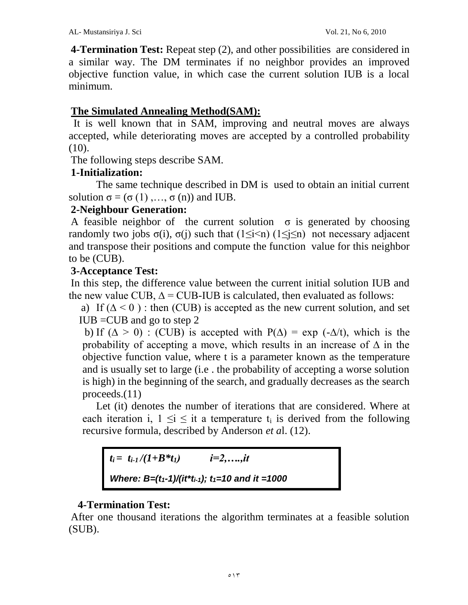**4-Termination Test:** Repeat step (2), and other possibilities are considered in a similar way. The DM terminates if no neighbor provides an improved objective function value, in which case the current solution IUB is a local minimum.

### **The Simulated Annealing Method(SAM):**

It is well known that in SAM, improving and neutral moves are always accepted, while deteriorating moves are accepted by a controlled probability  $(10).$ 

The following steps describe SAM.

### **1-Initialization:**

The same technique described in DM is used to obtain an initial current solution  $\sigma = (\sigma(1), \ldots, \sigma(n))$  and IUB.

### **2-Neighbour Generation:**

A feasible neighbor of the current solution  $\sigma$  is generated by choosing randomly two jobs  $\sigma(i)$ ,  $\sigma(j)$  such that  $(1 \le i \le n)$   $(1 \le j \le n)$  not necessary adjacent and transpose their positions and compute the function value for this neighbor to be (CUB).

### **3-Acceptance Test:**

In this step, the difference value between the current initial solution IUB and the new value CUB,  $\Delta$  = CUB-IUB is calculated, then evaluated as follows:

a) If  $(\Delta < 0)$ : then (CUB) is accepted as the new current solution, and set  $IUB = CUB$  and go to step 2

b) If ( $\Delta > 0$ ) : (CUB) is accepted with P( $\Delta$ ) = exp (- $\Delta/t$ ), which is the probability of accepting a move, which results in an increase of  $\Delta$  in the objective function value, where t is a parameter known as the temperature and is usually set to large (i.e . the probability of accepting a worse solution is high) in the beginning of the search, and gradually decreases as the search proceeds.(11)

Let (it) denotes the number of iterations that are considered. Where at each iteration i,  $1 \le i \le i$  a temperature  $t_i$  is derived from the following recursive formula, described by Anderson *et a*l. (12).

 $t_i = t_{i-1} / (1+B*t_i)$  *i*=2,…*.,it Where: B=(t1-1)/(it\*ti-1); t1=10 and it =1000* 

### **4-Termination Test:**

After one thousand iterations the algorithm terminates at a feasible solution (SUB).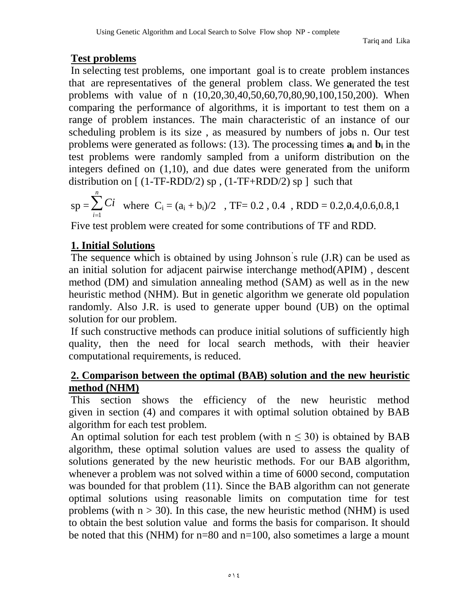# **Test problems**

In selecting test problems, one important goal is to create problem instances that are representatives of the general problem class. We generated the test problems with value of n (10,20,30,40,50,60,70,80,90,100,150,200). When comparing the performance of algorithms, it is important to test them on a range of problem instances. The main characteristic of an instance of our scheduling problem is its size , as measured by numbers of jobs n. Our test problems were generated as follows: (13). The processing times **a<sup>i</sup>** and **b<sup>i</sup>** in the test problems were randomly sampled from a uniform distribution on the integers defined on (1,10), and due dates were generated from the uniform distribution on  $[(1-TF-RDD/2)$  sp,  $(1-TF+RDD/2)$  sp  $]$  such that

$$
sp = \sum_{i=1}^{n} Ci
$$
 where  $C_i = (a_i + b_i)/2$ , TF= 0.2, 0.4, RDD = 0.2, 0.4, 0.6, 0.8, 1

Five test problem were created for some contributions of TF and RDD.

# **1. Initial Solutions**

The sequence which is obtained by using Johnson' s rule (J.R) can be used as an initial solution for adjacent pairwise interchange method(APIM) , descent method (DM) and simulation annealing method (SAM) as well as in the new heuristic method (NHM). But in genetic algorithm we generate old population randomly. Also J.R. is used to generate upper bound (UB) on the optimal solution for our problem.

If such constructive methods can produce initial solutions of sufficiently high quality, then the need for local search methods, with their heavier computational requirements, is reduced.

## **2. Comparison between the optimal (BAB) solution and the new heuristic method (NHM)**

This section shows the efficiency of the new heuristic method given in section (4) and compares it with optimal solution obtained by BAB algorithm for each test problem.

An optimal solution for each test problem (with  $n \le 30$ ) is obtained by BAB algorithm, these optimal solution values are used to assess the quality of solutions generated by the new heuristic methods. For our BAB algorithm, whenever a problem was not solved within a time of 6000 second, computation was bounded for that problem (11). Since the BAB algorithm can not generate optimal solutions using reasonable limits on computation time for test problems (with  $n > 30$ ). In this case, the new heuristic method (NHM) is used to obtain the best solution value and forms the basis for comparison. It should be noted that this (NHM) for  $n=80$  and  $n=100$ , also sometimes a large a mount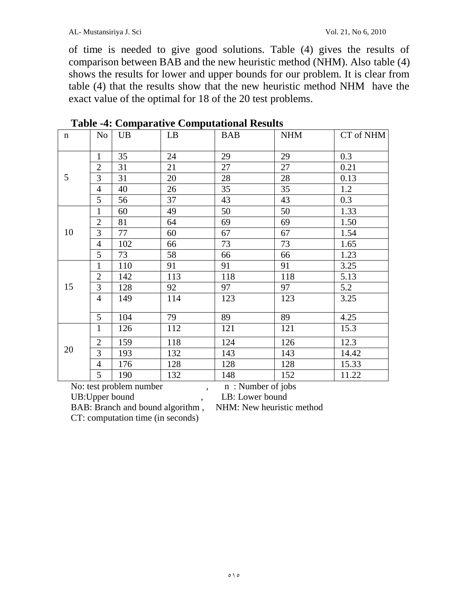of time is needed to give good solutions. Table (4) gives the results of comparison between BAB and the new heuristic method (NHM). Also table (4) shows the results for lower and upper bounds for our problem. It is clear from table (4) that the results show that the new heuristic method NHM have the exact value of the optimal for 18 of the 20 test problems.

| $\mathbf n$ | N <sub>o</sub> | <b>UB</b> | LB  | <b>BAB</b> | <b>NHM</b> | CT of NHM |
|-------------|----------------|-----------|-----|------------|------------|-----------|
|             | $\mathbf{1}$   | 35        | 24  | 29         | 29         | 0.3       |
|             | $\overline{2}$ | 31        | 21  | 27         | 27         | 0.21      |
| 5           | 3              | 31        | 20  | 28         | 28         | 0.13      |
|             | $\overline{4}$ | 40        | 26  | 35         | 35         | 1.2       |
|             | 5              | 56        | 37  | 43         | 43         | 0.3       |
|             | $\mathbf{1}$   | 60        | 49  | 50         | 50         | 1.33      |
|             | $\overline{2}$ | 81        | 64  | 69         | 69         | 1.50      |
| 10          | 3              | 77        | 60  | 67         | 67         | 1.54      |
|             | $\overline{4}$ | 102       | 66  | 73         | 73         | 1.65      |
|             | 5              | 73        | 58  | 66         | 66         | 1.23      |
|             | $\mathbf{1}$   | 110       | 91  | 91         | 91         | 3.25      |
|             | $\mathbf{2}$   | 142       | 113 | 118        | 118        | 5.13      |
| 15          | 3              | 128       | 92  | 97         | 97         | 5.2       |
|             | $\overline{4}$ | 149       | 114 | 123        | 123        | 3.25      |
|             | 5              | 104       | 79  | 89         | 89         | 4.25      |
|             | $\mathbf{1}$   | 126       | 112 | 121        | 121        | 15.3      |
| 20          | $\mathbf{2}$   | 159       | 118 | 124        | 126        | 12.3      |
|             | 3              | 193       | 132 | 143        | 143        | 14.42     |
|             | $\overline{4}$ | 176       | 128 | 128        | 128        | 15.33     |
|             | 5              | 190       | 132 | 148        | 152        | 11.22     |

**Table -4: Comparative Computational Results**

No: test problem number , n : Number of jobs

UB: Upper bound , LB: Lower bound

BAB: Branch and bound algorithm , NHM: New heuristic method

CT: computation time (in seconds)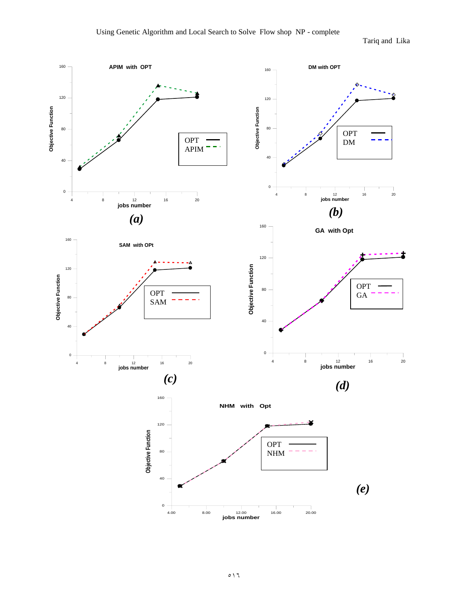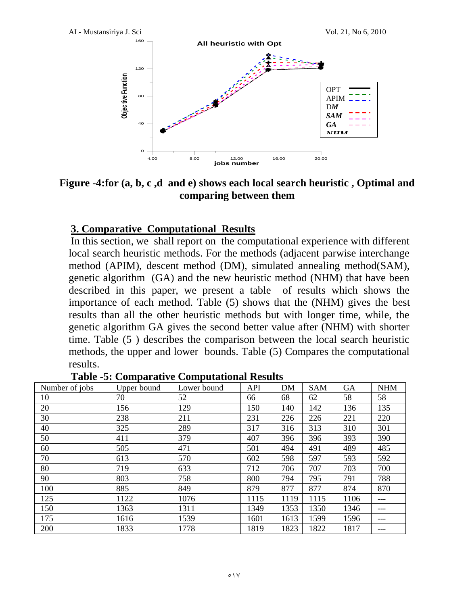

**Figure -4:for (a, b, c ,d and e) shows each local search heuristic , Optimal and comparing between them**

### **3. Comparative Computational Results**

In this section, we shall report on the computational experience with different local search heuristic methods. For the methods (adjacent parwise interchange method (APIM), descent method (DM), simulated annealing method(SAM), genetic algorithm (GA) and the new heuristic method (NHM) that have been described in this paper, we present a table of results which shows the importance of each method. Table (5) shows that the (NHM) gives the best results than all the other heuristic methods but with longer time, while, the genetic algorithm GA gives the second better value after (NHM) with shorter time. Table (5 ) describes the comparison between the local search heuristic methods, the upper and lower bounds. Table (5) Compares the computational results.

| Number of jobs | Upper bound | Lower bound | <b>API</b> | <b>DM</b> | <b>SAM</b> | <b>GA</b> | <b>NHM</b> |
|----------------|-------------|-------------|------------|-----------|------------|-----------|------------|
| 10             | 70          | 52          | 66         | 68        | 62         | 58        | 58         |
| 20             | 156         | 129         | 150        | 140       | 142        | 136       | 135        |
| 30             | 238         | 211         | 231        | 226       | 226        | 221       | 220        |
| 40             | 325         | 289         | 317        | 316       | 313        | 310       | 301        |
| 50             | 411         | 379         | 407        | 396       | 396        | 393       | 390        |
| 60             | 505         | 471         | 501        | 494       | 491        | 489       | 485        |
| 70             | 613         | 570         | 602        | 598       | 597        | 593       | 592        |
| 80             | 719         | 633         | 712        | 706       | 707        | 703       | 700        |
| 90             | 803         | 758         | 800        | 794       | 795        | 791       | 788        |
| 100            | 885         | 849         | 879        | 877       | 877        | 874       | 870        |
| 125            | 1122        | 1076        | 1115       | 1119      | 1115       | 1106      | ---        |
| 150            | 1363        | 1311        | 1349       | 1353      | 1350       | 1346      | ---        |
| 175            | 1616        | 1539        | 1601       | 1613      | 1599       | 1596      | ---        |
| 200            | 1833        | 1778        | 1819       | 1823      | 1822       | 1817      | ---        |

**Table -5: Comparative Computational Results**